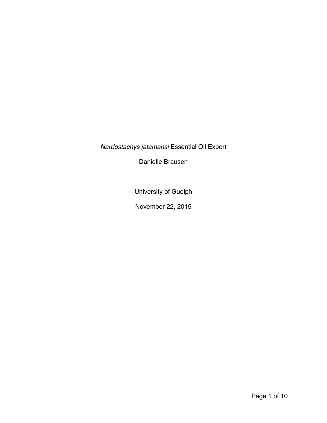*Nardostachys jatamansi* Essential Oil Export

Danielle Brausen

University of Guelph

November 22, 2015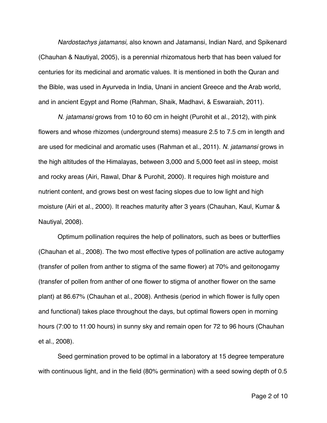*Nardostachys jatamansi,* also known and Jatamansi, Indian Nard, and Spikenard (Chauhan & Nautiyal, 2005), is a perennial rhizomatous herb that has been valued for centuries for its medicinal and aromatic values. It is mentioned in both the Quran and the Bible, was used in Ayurveda in India, Unani in ancient Greece and the Arab world, and in ancient Egypt and Rome (Rahman, Shaik, Madhavi, & Eswaraiah, 2011).

*N. jatamansi* grows from 10 to 60 cm in height (Purohit et al., 2012), with pink flowers and whose rhizomes (underground stems) measure 2.5 to 7.5 cm in length and are used for medicinal and aromatic uses (Rahman et al., 2011). *N. jatamansi* grows in the high altitudes of the Himalayas, between 3,000 and 5,000 feet asl in steep, moist and rocky areas (Airi, Rawal, Dhar & Purohit, 2000). It requires high moisture and nutrient content, and grows best on west facing slopes due to low light and high moisture (Airi et al., 2000). It reaches maturity after 3 years (Chauhan, Kaul, Kumar & Nautiyal, 2008).

Optimum pollination requires the help of pollinators, such as bees or butterflies (Chauhan et al., 2008). The two most effective types of pollination are active autogamy (transfer of pollen from anther to stigma of the same flower) at 70% and geitonogamy (transfer of pollen from anther of one flower to stigma of another flower on the same plant) at 86.67% (Chauhan et al., 2008). Anthesis (period in which flower is fully open and functional) takes place throughout the days, but optimal flowers open in morning hours (7:00 to 11:00 hours) in sunny sky and remain open for 72 to 96 hours (Chauhan et al., 2008).

Seed germination proved to be optimal in a laboratory at 15 degree temperature with continuous light, and in the field (80% germination) with a seed sowing depth of 0.5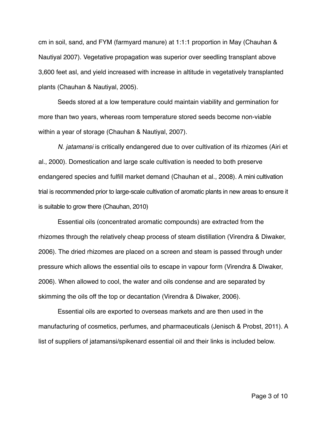cm in soil, sand, and FYM (farmyard manure) at 1:1:1 proportion in May (Chauhan & Nautiyal 2007). Vegetative propagation was superior over seedling transplant above 3,600 feet asl, and yield increased with increase in altitude in vegetatively transplanted plants (Chauhan & Nautiyal, 2005).

Seeds stored at a low temperature could maintain viability and germination for more than two years, whereas room temperature stored seeds become non-viable within a year of storage (Chauhan & Nautiyal, 2007).

*N. jatamansi* is critically endangered due to over cultivation of its rhizomes (Airi et al., 2000). Domestication and large scale cultivation is needed to both preserve endangered species and fulfill market demand (Chauhan et al., 2008). A mini cultivation trial is recommended prior to large-scale cultivation of aromatic plants in new areas to ensure it is suitable to grow there (Chauhan, 2010)

Essential oils (concentrated aromatic compounds) are extracted from the rhizomes through the relatively cheap process of steam distillation (Virendra & Diwaker, 2006). The dried rhizomes are placed on a screen and steam is passed through under pressure which allows the essential oils to escape in vapour form (Virendra & Diwaker, 2006). When allowed to cool, the water and oils condense and are separated by skimming the oils off the top or decantation (Virendra & Diwaker, 2006).

Essential oils are exported to overseas markets and are then used in the manufacturing of cosmetics, perfumes, and pharmaceuticals (Jenisch & Probst, 2011). A list of suppliers of jatamansi/spikenard essential oil and their links is included below.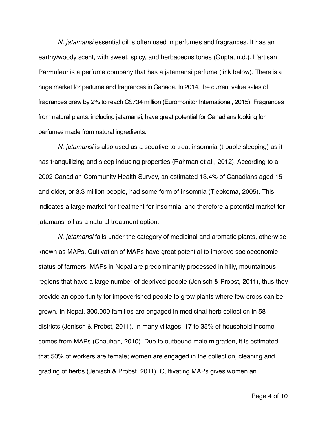*N. jatamansi* essential oil is often used in perfumes and fragrances. It has an earthy/woody scent, with sweet, spicy, and herbaceous tones (Gupta, n.d.). L'artisan Parmufeur is a perfume company that has a jatamansi perfume (link below). There is a huge market for perfume and fragrances in Canada. In 2014, the current value sales of fragrances grew by 2% to reach C\$734 million (Euromonitor International, 2015). Fragrances from natural plants, including jatamansi, have great potential for Canadians looking for perfumes made from natural ingredients.

*N. jatamansi* is also used as a sedative to treat insomnia (trouble sleeping) as it has tranquilizing and sleep inducing properties (Rahman et al., 2012). According to a 2002 Canadian Community Health Survey, an estimated 13.4% of Canadians aged 15 and older, or 3.3 million people, had some form of insomnia (Tjepkema, 2005). This indicates a large market for treatment for insomnia, and therefore a potential market for jatamansi oil as a natural treatment option.

*N. jatamansi* falls under the category of medicinal and aromatic plants, otherwise known as MAPs. Cultivation of MAPs have great potential to improve socioeconomic status of farmers. MAPs in Nepal are predominantly processed in hilly, mountainous regions that have a large number of deprived people (Jenisch & Probst, 2011), thus they provide an opportunity for impoverished people to grow plants where few crops can be grown. In Nepal, 300,000 families are engaged in medicinal herb collection in 58 districts (Jenisch & Probst, 2011). In many villages, 17 to 35% of household income comes from MAPs (Chauhan, 2010). Due to outbound male migration, it is estimated that 50% of workers are female; women are engaged in the collection, cleaning and grading of herbs (Jenisch & Probst, 2011). Cultivating MAPs gives women an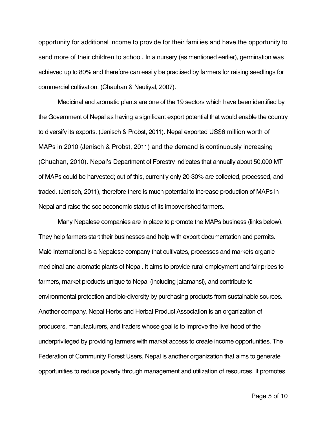opportunity for additional income to provide for their families and have the opportunity to send more of their children to school. In a nursery (as mentioned earlier), germination was achieved up to 80% and therefore can easily be practised by farmers for raising seedlings for commercial cultivation. (Chauhan & Nautiyal, 2007).

Medicinal and aromatic plants are one of the 19 sectors which have been identified by the Government of Nepal as having a significant export potential that would enable the country to diversify its exports. (Jenisch & Probst, 2011). Nepal exported US\$6 million worth of MAPs in 2010 (Jenisch & Probst, 2011) and the demand is continuously increasing (Chuahan, 2010). Nepal's Department of Forestry indicates that annually about 50,000 MT of MAPs could be harvested; out of this, currently only 20-30% are collected, processed, and traded. (Jenisch, 2011), therefore there is much potential to increase production of MAPs in Nepal and raise the socioeconomic status of its impoverished farmers.

Many Nepalese companies are in place to promote the MAPs business (links below). They help farmers start their businesses and help with export documentation and permits. Malé International is a Nepalese company that cultivates, processes and markets organic medicinal and aromatic plants of Nepal. It aims to provide rural employment and fair prices to farmers, market products unique to Nepal (including jatamansi), and contribute to environmental protection and bio-diversity by purchasing products from sustainable sources. Another company, Nepal Herbs and Herbal Product Association is an organization of producers, manufacturers, and traders whose goal is to improve the livelihood of the underprivileged by providing farmers with market access to create income opportunities. The Federation of Community Forest Users, Nepal is another organization that aims to generate opportunities to reduce poverty through management and utilization of resources. It promotes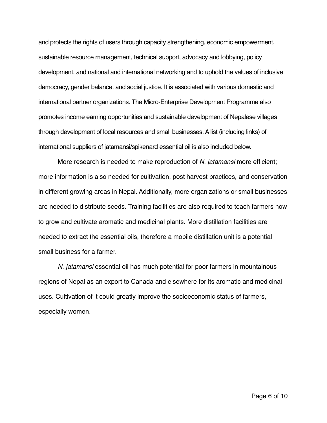and protects the rights of users through capacity strengthening, economic empowerment, sustainable resource management, technical support, advocacy and lobbying, policy development, and national and international networking and to uphold the values of inclusive democracy, gender balance, and social justice. It is associated with various domestic and international partner organizations. The Micro-Enterprise Development Programme also promotes income earning opportunities and sustainable development of Nepalese villages through development of local resources and small businesses. A list (including links) of international suppliers of jatamansi/spikenard essential oil is also included below.

More research is needed to make reproduction of *N. jatamansi* more efficient; more information is also needed for cultivation, post harvest practices, and conservation in different growing areas in Nepal. Additionally, more organizations or small businesses are needed to distribute seeds. Training facilities are also required to teach farmers how to grow and cultivate aromatic and medicinal plants. More distillation facilities are needed to extract the essential oils, therefore a mobile distillation unit is a potential small business for a farmer.

*N. jatamansi* essential oil has much potential for poor farmers in mountainous regions of Nepal as an export to Canada and elsewhere for its aromatic and medicinal uses. Cultivation of it could greatly improve the socioeconomic status of farmers, especially women.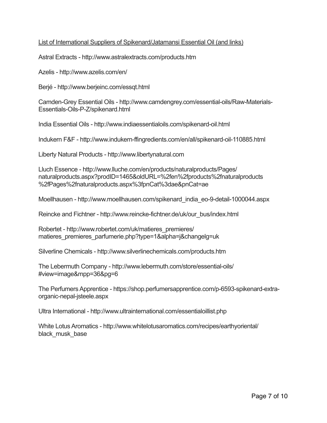## List of International Suppliers of Spikenard/Jatamansi Essential Oil (and links)

Astral Extracts - http://www.astralextracts.com/products.htm

Azelis - http://www.azelis.com/en/

Berjé - http://www.berjeinc.com/essqt.html

Camden-Grey Essential Oils - http://www.camdengrey.com/essential-oils/Raw-Materials-Essentials-Oils-P-Z/spikenard.html

India Essential Oils - http://www.indiaessentialoils.com/spikenard-oil.html

Indukern F&F - http://www.indukern-ffingredients.com/en/all/spikenard-oil-110885.html

Liberty Natural Products - http://www.libertynatural.com

Lluch Essence - http://www.lluche.com/en/products/naturalproducts/Pages/ naturalproducts.aspx?prodID=1465&oldURL=%2fen%2fproducts%2fnaturalproducts %2fPages%2fnaturalproducts.aspx%3fpnCat%3dae&pnCat=ae

Moellhausen - http://www.moellhausen.com/spikenard\_india\_eo-9-detail-1000044.aspx

Reincke and Fichtner - http://www.reincke-fichtner.de/uk/our\_bus/index.html

Robertet - http://www.robertet.com/uk/matieres\_premieres/ matieres\_premieres\_parfumerie.php?type=1&alpha=j&changelg=uk

Silverline Chemicals - http://www.silverlinechemicals.com/products.htm

The Lebermuth Company - http://www.lebermuth.com/store/essential-oils/ #view=image&mpp=36&pg=6

The Perfumers Apprentice - https://shop.perfumersapprentice.com/p-6593-spikenard-extraorganic-nepal-jsteele.aspx

Ultra International - http://www.ultrainternational.com/essentialoillist.php

White Lotus Aromatics - http://www.whitelotusaromatics.com/recipes/earthyoriental/ black musk base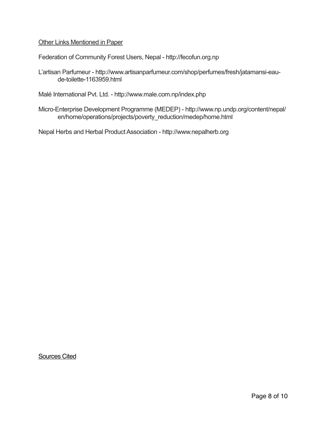Other Links Mentioned in Paper

Federation of Community Forest Users, Nepal - http://fecofun.org.np

L'artisan Parfumeur - http://www.artisanparfumeur.com/shop/perfumes/fresh/jatamansi-eau de-toilette-1163959.html

Malé International Pvt. Ltd. - http://www.male.com.np/index.php

Micro-Enterprise Development Programme (MEDEP) - http://www.np.undp.org/content/nepal/ en/home/operations/projects/poverty\_reduction/medep/home.html

Nepal Herbs and Herbal Product Association - http://www.nepalherb.org

Sources Cited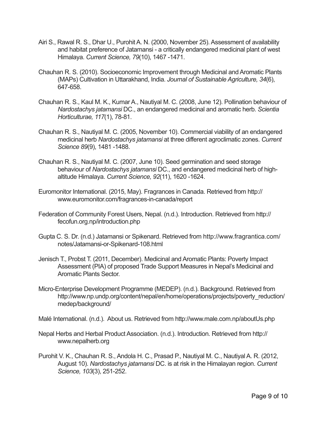- Airi S., Rawal R. S., Dhar U., Purohit A. N. (2000, November 25). Assessment of availability and habitat preference of Jatamansi - a critically endangered medicinal plant of west Himalaya. *Current Science, 79*(10), 1467 -1471.
- Chauhan R. S. (2010). Socioeconomic Improvement through Medicinal and Aromatic Plants (MAPs) Cultivation in Uttarakhand, India. *Journal of Sustainable Agriculture, 34*(6), 647-658.
- Chauhan R. S., Kaul M. K., Kumar A., Nautiyal M. C. (2008, June 12). Pollination behaviour of *Nardostachys jatamansi* DC., an endangered medicinal and aromatic herb. *Scientia Horticulturae, 117*(1), 78-81.
- Chauhan R. S., Nautiyal M. C. (2005, November 10). Commercial viability of an endangered medicinal herb *Nardostachys jatamansi* at three different agroclimatic zones. *Current Science 89*(9), 1481 -1488.
- Chauhan R. S., Nautiyal M. C. (2007, June 10). Seed germination and seed storage behaviour of *Nardostachys jatamansi* DC., and endangered medicinal herb of high altitude Himalaya. *Current Science, 92*(11), 1620 -1624.
- Euromonitor International. (2015, May). Fragrances in Canada. Retrieved from http:// www.euromonitor.com/fragrances-in-canada/report
- Federation of Community Forest Users, Nepal. (n.d.). Introduction. Retrieved from http:// fecofun.org.np/introduction.php
- Gupta C. S. Dr. (n.d.) Jatamansi or Spikenard. Retrieved from http://www.fragrantica.com/ notes/Jatamansi-or-Spikenard-108.html
- Jenisch T., Probst T. (2011, December). Medicinal and Aromatic Plants: Poverty Impact Assessment (PIA) of proposed Trade Support Measures in Nepal's Medicinal and Aromatic Plants Sector.
- Micro-Enterprise Development Programme (MEDEP). (n.d.). Background. Retrieved from http://www.np.undp.org/content/nepal/en/home/operations/projects/poverty\_reduction/ medep/background/

Malé International. (n.d.). About us. Retrieved from http://www.male.com.np/aboutUs.php

- Nepal Herbs and Herbal Product Association. (n.d.). Introduction. Retrieved from http:// www.nepalherb.org
- Purohit V. K., Chauhan R. S., Andola H. C., Prasad P., Nautiyal M. C., Nautiyal A. R. (2012, August 10). *Nardostachys jatamansi* DC. is at risk in the Himalayan region. *Current Science, 103*(3), 251-252.